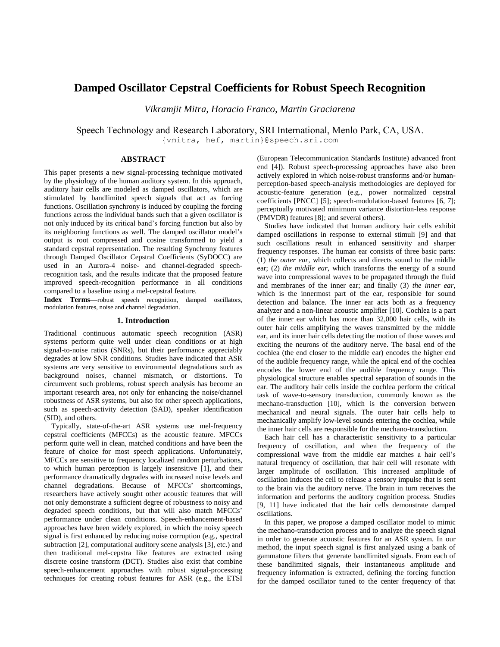# **Damped Oscillator Cepstral Coefficients for Robust Speech Recognition**

*Vikramjit Mitra, Horacio Franco, Martin Graciarena*

Speech Technology and Research Laboratory, SRI International, Menlo Park, CA, USA. {vmitra, hef, martin}@speech.sri.com

## **ABSTRACT**

This paper presents a new signal-processing technique motivated by the physiology of the human auditory system. In this approach, auditory hair cells are modeled as damped oscillators, which are stimulated by bandlimited speech signals that act as forcing functions. Oscillation synchrony is induced by coupling the forcing functions across the individual bands such that a given oscillator is not only induced by its critical band's forcing function but also by its neighboring functions as well. The damped oscillator model's output is root compressed and cosine transformed to yield a standard cepstral representation. The resulting Synchrony features through Damped Oscillator Cepstral Coefficients (SyDOCC) are used in an Aurora-4 noise- and channel-degraded speechrecognition task, and the results indicate that the proposed feature improved speech-recognition performance in all conditions compared to a baseline using a mel-cepstral feature.

**Index Terms—**robust speech recognition, damped oscillators, modulation features, noise and channel degradation*.*

### **1. Introduction**

Traditional continuous automatic speech recognition (ASR) systems perform quite well under clean conditions or at high signal-to-noise ratios (SNRs), but their performance appreciably degrades at low SNR conditions. Studies have indicated that ASR systems are very sensitive to environmental degradations such as background noises, channel mismatch, or distortions. To circumvent such problems, robust speech analysis has become an important research area, not only for enhancing the noise/channel robustness of ASR systems, but also for other speech applications, such as speech-activity detection (SAD), speaker identification (SID), and others.

Typically, state-of-the-art ASR systems use mel-frequency cepstral coefficients (MFCCs) as the acoustic feature. MFCCs perform quite well in clean, matched conditions and have been the feature of choice for most speech applications. Unfortunately, MFCCs are sensitive to frequency localized random perturbations, to which human perception is largely insensitive [1], and their performance dramatically degrades with increased noise levels and channel degradations. Because of MFCCs' shortcomings, researchers have actively sought other acoustic features that will not only demonstrate a sufficient degree of robustness to noisy and degraded speech conditions, but that will also match MFCCs' performance under clean conditions. Speech-enhancement-based approaches have been widely explored, in which the noisy speech signal is first enhanced by reducing noise corruption (e.g., spectral subtraction [2], computational auditory scene analysis [3], etc.) and then traditional mel-cepstra like features are extracted using discrete cosine transform (DCT). Studies also exist that combine speech-enhancement approaches with robust signal-processing techniques for creating robust features for ASR (e.g., the ETSI

(European Telecommunication Standards Institute) advanced front end [4]). Robust speech-processing approaches have also been actively explored in which noise-robust transforms and/or humanperception-based speech-analysis methodologies are deployed for acoustic-feature generation (e.g., power normalized cepstral coefficients [PNCC] [5]; speech-modulation-based features [6, 7]; perceptually motivated minimum variance distortion-less response (PMVDR) features [8]; and several others).

Studies have indicated that human auditory hair cells exhibit damped oscillations in response to external stimuli [9] and that such oscillations result in enhanced sensitivity and sharper frequency responses. The human ear consists of three basic parts: (1) *the outer ear*, which collects and directs sound to the middle ear; (2) *the middle ear*, which transforms the energy of a sound wave into compressional waves to be propagated through the fluid and membranes of the inner ear; and finally (3) *the inner ear*, which is the innermost part of the ear, responsible for sound detection and balance. The inner ear acts both as a frequency analyzer and a non-linear acoustic amplifier [10]. Cochlea is a part of the inner ear which has more than 32,000 hair cells, with its outer hair cells amplifying the waves transmitted by the middle ear, and its inner hair cells detecting the motion of those waves and exciting the neurons of the auditory nerve. The basal end of the cochlea (the end closer to the middle ear) encodes the higher end of the audible frequency range, while the apical end of the cochlea encodes the lower end of the audible frequency range. This physiological structure enables spectral separation of sounds in the ear. The auditory hair cells inside the cochlea perform the critical task of wave-to-sensory transduction, commonly known as the mechano-transduction [10], which is the conversion between mechanical and neural signals. The outer hair cells help to mechanically amplify low-level sounds entering the cochlea, while the inner hair cells are responsible for the mechano-transduction.

Each hair cell has a characteristic sensitivity to a particular frequency of oscillation, and when the frequency of the compressional wave from the middle ear matches a hair cell's natural frequency of oscillation, that hair cell will resonate with larger amplitude of oscillation. This increased amplitude of oscillation induces the cell to release a sensory impulse that is sent to the brain via the auditory nerve. The brain in turn receives the information and performs the auditory cognition process. Studies [9, 11] have indicated that the hair cells demonstrate damped oscillations.

In this paper, we propose a damped oscillator model to mimic the mechano-transduction process and to analyze the speech signal in order to generate acoustic features for an ASR system. In our method, the input speech signal is first analyzed using a bank of gammatone filters that generate bandlimited signals. From each of these bandlimited signals, their instantaneous amplitude and frequency information is extracted, defining the forcing function for the damped oscillator tuned to the center frequency of that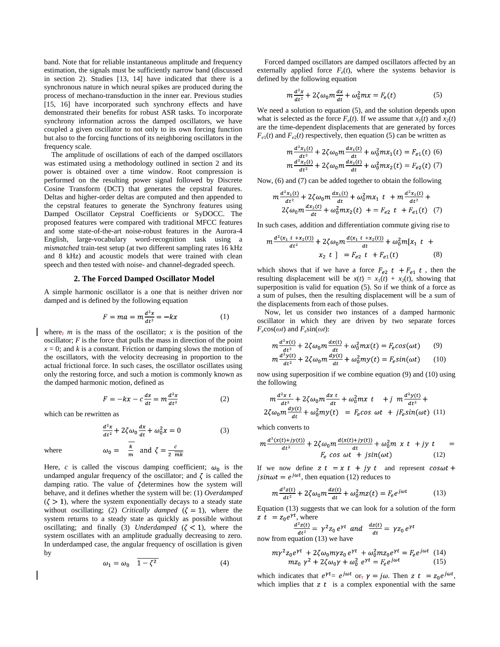band. Note that for reliable instantaneous amplitude and frequency estimation, the signals must be sufficiently narrow band (discussed in section 2). Studies [13, 14] have indicated that there is a synchronous nature in which neural spikes are produced during the process of mechano-transduction in the inner ear. Previous studies [15, 16] have incorporated such synchrony effects and have demonstrated their benefits for robust ASR tasks. To incorporate synchrony information across the damped oscillators, we have coupled a given oscillator to not only to its own forcing function but also to the forcing functions of its neighboring oscillators in the frequency scale.

The amplitude of oscillations of each of the damped oscillators was estimated using a methodology outlined in section 2 and its power is obtained over a time window. Root compression is performed on the resulting power signal followed by Discrete Cosine Transform (DCT) that generates the cepstral features. Deltas and higher-order deltas are computed and then appended to the cepstral features to generate the Synchrony features using Damped Oscillator Cepstral Coefficients or SyDOCC. The proposed features were compared with traditional MFCC features and some state-of-the-art noise-robust features in the Aurora-4 English, large-vocabulary word-recognition task using a *mismatched* train-test setup (at two different sampling rates 16 kHz and 8 kHz) and acoustic models that were trained with clean speech and then tested with noise- and channel-degraded speech.

## **2. The Forced Damped Oscillator Model**

A simple harmonic oscillator is a one that is neither driven nor damped and is defined by the following equation

$$
F = ma = m\frac{d^2x}{dt^2} = -kx\tag{1}
$$

where,  $m$  is the mass of the oscillator;  $x$  is the position of the oscillator;  $F$  is the force that pulls the mass in direction of the point  $x = 0$ ; and *k* is a constant. Friction or damping slows the motion of the oscillators, with the velocity decreasing in proportion to the actual frictional force. In such cases, the oscillator oscillates using only the restoring force, and such a motion is commonly known as the damped harmonic motion, defined as

$$
F = -kx - c\frac{dx}{dt} = m\frac{d^2x}{dt^2}
$$
 (2)

which can be rewritten as

 $\sim$ 

where

$$
\frac{d^2x}{dt^2} + 2\zeta \omega_0 \frac{dx}{dt} + \omega_0^2 x = 0
$$
 (3)  

$$
\omega_0 = \frac{k}{m} \text{ and } \zeta = \frac{c}{2\overline{mk}}
$$

Here, *c* is called the viscous damping coefficient;  $\omega_0$  is the undamped angular frequency of the oscillator; and  $\zeta$  is called the damping ratio. The value of  $\zeta$  determines how the system will behave, and it defines whether the system will be: (1) *Overdamped*  $(\zeta > 1)$ , where the system exponentially decays to a steady state without oscillating; (2) *Critically damped* ( $\zeta = 1$ ), where the system returns to a steady state as quickly as possible without oscillating; and finally (3) *Underdamped*  $( $\lt$  1)$ , where the

system oscillates with an amplitude gradually decreasing to zero. In underdamped case, the angular frequency of oscillation is given by

$$
\omega_1 = \omega_0 \quad 1 - \zeta^2 \tag{4}
$$

Forced damped oscillators are damped oscillators affected by an externally applied force  $F_e(t)$ , where the systems behavior is defined by the following equation

$$
m\frac{d^2x}{dt^2} + 2\zeta\omega_0 m\frac{dx}{dt} + \omega_0^2 mx = F_e(t)
$$
 (5)

We need a solution to equation (5), and the solution depends upon what is selected as the force  $F_e(t)$ . If we assume that  $x_1(t)$  and  $x_2(t)$ are the time-dependent displacements that are generated by forces  $F_{e1}(t)$  and  $F_{e2}(t)$  respectively, then equation (5) can be written as

$$
m\frac{d^2x_1(t)}{dt^2} + 2\zeta\omega_0 m \frac{dx_1(t)}{dt} + \omega_0^2 mx_1(t) = F_{e1}(t)
$$
 (6)  

$$
m\frac{d^2x_2(t)}{dt^2} + 2\zeta\omega_0 m \frac{dx_2(t)}{dt} + \omega_0^2 mx_2(t) = F_{e2}(t)
$$
 (7)

Now, (6) and (7) can be added together to obtain the following

$$
m\frac{d^{2}x_{1}(t)}{dt^{2}} + 2\zeta\omega_{0}m\frac{dx_{1}(t)}{dt} + \omega_{0}^{2}mx_{1} t + m\frac{d^{2}x_{2}(t)}{dt^{2}} + 2\zeta\omega_{0}m\frac{dx_{2}(t)}{dt} + \omega_{0}^{2}mx_{2}(t) + F_{e2} t + F_{e1}(t)
$$
 (7)

In such cases, addition and differentiation commute giving rise to

$$
m \frac{d^{2}(x_{1} t + x_{2}(t))}{dt^{2}} + 2\zeta \omega_{0} m \frac{d(x_{1} t + x_{2}(t))}{dt} + \omega_{0}^{2} m[x_{1} t + x_{2} t] = F_{e2} t + F_{e1}(t)
$$
\n(8)

which shows that if we have a force  $F_{e2}$   $t + F_{e1}$   $t$ , then the resulting displacement will be  $x(t) = x_1(t) + x_2(t)$ , showing that superposition is valid for equation (5). So if we think of a force as a sum of pulses, then the resulting displacement will be a sum of the displacements from each of those pulses.

Now, let us consider two instances of a damped harmonic oscillator in which they are driven by two separate forces  $F_e$ cos( $\omega t$ ) and  $F_e$ sin( $\omega t$ ):

$$
m\frac{d^2x(t)}{dt^2} + 2\zeta\omega_0 m \frac{dx(t)}{dt} + \omega_0^2 mx(t) = F_e \cos(\omega t) \qquad (9)
$$

$$
m\frac{d^2y(t)}{dt^2} + 2\zeta\omega_0 m\frac{dy(t)}{dt} + \omega_0^2 my(t) = F_e \sin(\omega t) \qquad (10)
$$

now using superposition if we combine equation (9) and (10) using the following

$$
m\frac{d^2x t}{dt^2} + 2\zeta\omega_0 m\frac{dx t}{dt} + \omega_0^2 mx t + j m\frac{d^2y(t)}{dt^2} +
$$
  

$$
2\zeta\omega_0 m\frac{dy(t)}{dt} + \omega_0^2 my(t) = F_e \cos \omega t + jF_e \sin(\omega t) \quad (11)
$$

which converts to

$$
m\frac{d^{2}(x(t)+jy(t))}{dt^{2}} + 2\zeta\omega_{0}m\frac{d(x(t)+jy(t))}{dt} + \omega_{0}^{2}m \times t + jy \t= F_{e} \cos \omega t + j\sin(\omega t) \tag{12}
$$

If we now define  $z t = x t + jy t$  and represent  $cos\omega t$  +  $isin \omega t = e^{j\omega t}$ , then equation (12) reduces to

$$
m\frac{d^2z(t)}{dt^2} + 2\zeta\omega_0 m \frac{dz(t)}{dt} + \omega_0^2 m z(t) = F_e e^{j\omega t}
$$
 (13)

Equation (13) suggests that we can look for a solution of the form z  $t = z_0 e^{\gamma t}$ , where

$$
\frac{d^2z(t)}{dt^2} = \gamma^2 z_0 e^{\gamma t} \text{ and } \frac{dz(t)}{dt} = \gamma z_0 e^{\gamma t}
$$

now from equation (13) we have

$$
m\gamma^{2}z_{0}e^{\gamma t} + 2\zeta\omega_{0}m\gamma z_{0}e^{\gamma t} + \omega_{0}^{2}mz_{0}e^{\gamma t} = F_{e}e^{j\omega t}
$$
 (14)  

$$
mz_{0}\gamma^{2} + 2\zeta\omega_{0}\gamma + \omega_{0}^{2}e^{\gamma t} = F_{e}e^{j\omega t}
$$
 (15)

which indicates that  $e^{\gamma t} = e^{j\omega t}$  or,  $\gamma = j\omega$ . Then z  $t = z_0 e^{j\omega t}$ , which implies that  $z \, t$  is a complex exponential with the same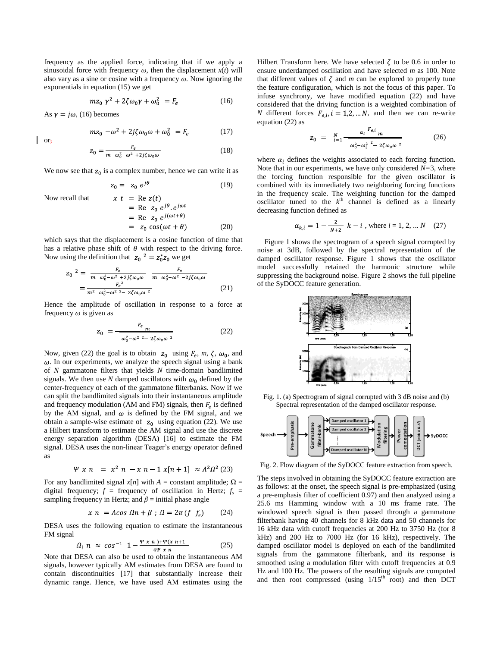frequency as the applied force, indicating that if we apply a sinusoidal force with frequency  $\omega$ , then the displacement  $x(t)$  will also vary as a sine or cosine with a frequency *ω.* Now ignoring the exponentials in equation (15) we get

$$
mz_0 \gamma^2 + 2\zeta \omega_0 \gamma + \omega_0^2 = F_e \tag{16}
$$

As  $y = i\omega$ , (16) becomes

$$
mz_0 - \omega^2 + 2j\zeta\omega_0\omega + \omega_0^2 = F_e \tag{17}
$$

or,

$$
z_0 = \frac{F_e}{m \omega_0^2 - \omega^2 + 2j\zeta\omega_0\omega} \tag{18}
$$

We now see that  $z_0$  is a complex number, hence we can write it as

$$
z_0 = z_0 e^{j\theta} \tag{19}
$$

Now recall that

$$
x t = \text{Re } z(t)
$$
  
= Re  $z_0 e^{j\theta} e^{j\omega t}$   
= Re  $z_0 e^{j(\omega t + \theta)}$   
=  $z_0 \cos(\omega t + \theta)$  (20)

which says that the displacement is a cosine function of time that has a relative phase shift of  $\theta$  with respect to the driving force. Now using the definition that  $z_0^2 = z_0^* z_0$  we get

$$
Z_0^2 = \frac{F_e}{m \omega_0^2 - \omega^2 + 2j\zeta\omega_0\omega} \frac{F_e}{m \omega_0^2 - \omega^2 - 2j\zeta\omega_0\omega}
$$
  
= 
$$
\frac{F_e^2}{m^2 \omega_0^2 - \omega^2 \omega^2 - 2\zeta\omega_0\omega^2}
$$
 (21)

Hence the amplitude of oscillation in response to a force at frequency *ω* is given as

$$
z_0 = \frac{F_e}{\omega_0^2 - \omega^2 \left(2 - \frac{2\zeta \omega_0 \omega^2}{r^2}\right)}
$$
 (22)

Now, given (22) the goal is to obtain  $z_0$  using  $F_e$ ,  $m$ ,  $\zeta$ ,  $\omega_0$ , and  $\omega$ . In our experiments, we analyze the speech signal using a bank of *N* gammatone filters that yields *N* time-domain bandlimited signals. We then use N damped oscillators with  $\omega_0$  defined by the center-frequency of each of the gammatone filterbanks. Now if we can split the bandlimited signals into their instantaneous amplitude and frequency modulation (AM and FM) signals, then  $F_e$  is defined by the AM signal, and  $\omega$  is defined by the FM signal, and we obtain a sample-wise estimate of  $z_0$  using equation (22). We use a Hilbert transform to estimate the AM signal and use the discrete energy separation algorithm (DESA) [16] to estimate the FM signal. DESA uses the non-linear Teager's energy operator defined as

$$
\Psi \times n = x^2 \ n - x \ n - 1 \ x[n+1] \approx A^2 \Omega^2 \ (23)
$$

For any bandlimited signal  $x[n]$  with  $A =$  constant amplitude;  $\Omega =$ digital frequency;  $f = \text{frequency of oscillation in Hertz}$ ;  $f_s =$ sampling frequency in Hertz; and  $\beta$  = initial phase angle

$$
x n = A \cos \Omega n + \beta ; \Omega = 2\pi (f f_s) \qquad (24)
$$

DESA uses the following equation to estimate the instantaneous FM signal

$$
\Omega_i \ n \approx \cos^{-1} \ 1 - \frac{\Psi \ x \ n \ ) + \Psi(x \ n+1}{4\Psi \ x \ n} \tag{25}
$$

Note that DESA can also be used to obtain the instantaneous AM signals, however typically AM estimates from DESA are found to contain discontinuities [17] that substantially increase their dynamic range. Hence, we have used AM estimates using the Hilbert Transform here. We have selected  $\zeta$  to be 0.6 in order to ensure underdamped oscillation and have selected *m* as 100. Note that different values of  $\zeta$  and  $m$  can be explored to properly tune the feature configuration, which is not the focus of this paper. To infuse synchrony, we have modified equation (22) and have considered that the driving function is a weighted combination of *N* different forces  $F_{e,i}$ ,  $i = 1,2,...N$ , and then we can re-write equation (22) as

$$
z_0 = \frac{N}{i-1} \frac{\alpha_i^{ne,i} m}{\omega_0^2 - \omega_i^2 - 2\zeta \omega_0 \omega^2}
$$
 (26)

where  $\alpha_i$  defines the weights associated to each forcing function. Note that in our experiments, we have only considered *N=*3, where the forcing function responsible for the given oscillator is combined with its immediately two neighboring forcing functions in the frequency scale. The weighting function for the damped oscillator tuned to the  $k<sup>th</sup>$  channel is defined as a linearly decreasing function defined as

$$
\alpha_{k,i} = 1 - \frac{2}{N+2} \ \ k - i \ , \text{ where } i = 1, 2, \dots N \quad (27)
$$

Figure 1 shows the spectrogram of a speech signal corrupted by noise at 3dB, followed by the spectral representation of the damped oscillator response. Figure 1 shows that the oscillator model successfully retained the harmonic structure while suppressing the background noise. Figure 2 shows the full pipeline of the SyDOCC feature generation.



Fig. 1. (a) Spectrogram of signal corrupted with 3 dB noise and (b) Spectral representation of the damped oscillator response.



Fig. 2. Flow diagram of the SyDOCC feature extraction from speech.

The steps involved in obtaining the SyDOCC feature extraction are as follows: at the onset, the speech signal is pre-emphasized (using a pre-emphasis filter of coefficient 0.97) and then analyzed using a 25.6 ms Hamming window with a 10 ms frame rate. The windowed speech signal is then passed through a gammatone filterbank having 40 channels for 8 kHz data and 50 channels for 16 kHz data with cutoff frequencies at 200 Hz to 3750 Hz (for 8 kHz) and 200 Hz to 7000 Hz (for 16 kHz), respectively. The damped oscillator model is deployed on each of the bandlimited signals from the gammatone filterbank, and its response is smoothed using a modulation filter with cutoff frequencies at 0.9 Hz and 100 Hz. The powers of the resulting signals are computed and then root compressed (using  $1/15^{\text{th}}$  root) and then DCT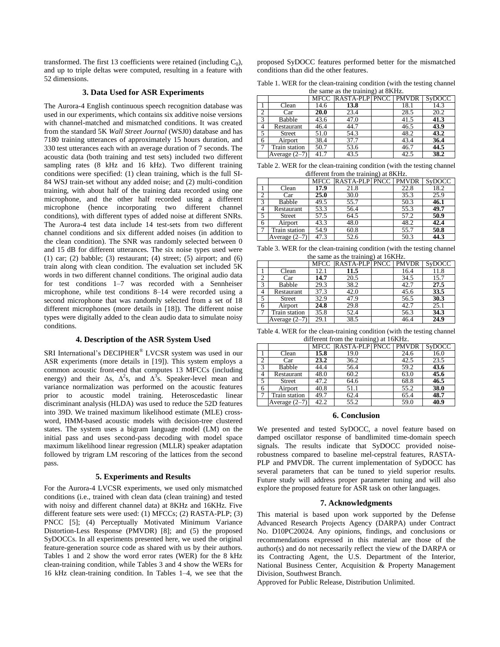transformed. The first 13 coefficients were retained (including  $C_0$ ), and up to triple deltas were computed, resulting in a feature with 52 dimensions.

## **3. Data Used for ASR Experiments**

The Aurora-4 English continuous speech recognition database was used in our experiments, which contains six additive noise versions with channel-matched and mismatched conditions. It was created from the standard 5K *Wall Street Journal* (WSJ0) database and has 7180 training utterances of approximately 15 hours duration, and 330 test utterances each with an average duration of 7 seconds. The acoustic data (both training and test sets) included two different sampling rates (8 kHz and 16 kHz). Two different training conditions were specified: (1) clean training, which is the full SI-84 WSJ train-set without any added noise; and (2) multi-condition training, with about half of the training data recorded using one microphone, and the other half recorded using a different microphone (hence incorporating two different channel conditions), with different types of added noise at different SNRs. The Aurora-4 test data include 14 test-sets from two different channel conditions and six different added noises (in addition to the clean condition). The SNR was randomly selected between 0 and 15 dB for different utterances. The six noise types used were (1) car; (2) babble; (3) restaurant; (4) street; (5) airport; and (6) train along with clean condition. The evaluation set included 5K words in two different channel conditions. The original audio data for test conditions 1–7 was recorded with a Sennheiser microphone, while test conditions 8–14 were recorded using a second microphone that was randomly selected from a set of 18 different microphones (more details in [18]). The different noise types were digitally added to the clean audio data to simulate noisy conditions.

### **4. Description of the ASR System Used**

SRI International's DECIPHER® LVCSR system was used in our ASR experiments (more details in [19]). This system employs a common acoustic front-end that computes 13 MFCCs (including energy) and their  $\Delta s$ ,  $\Delta^2 s$ , and  $\Delta^3 s$ . Speaker-level mean and variance normalization was performed on the acoustic features prior to acoustic model training. Heteroscedastic linear discriminant analysis (HLDA) was used to reduce the 52D features into 39D. We trained maximum likelihood estimate (MLE) crossword, HMM-based acoustic models with decision-tree clustered states. The system uses a bigram language model (LM) on the initial pass and uses second-pass decoding with model space maximum likelihood linear regression (MLLR) speaker adaptation followed by trigram LM rescoring of the lattices from the second pass.

## **5. Experiments and Results**

For the Aurora-4 LVCSR experiments, we used only mismatched conditions (i.e., trained with clean data (clean training) and tested with noisy and different channel data) at 8KHz and 16KHz. Five different feature sets were used: (1) MFCCs; (2) RASTA-PLP; (3) PNCC [5]; (4) Perceptually Motivated Minimum Variance Distortion-Less Response (PMVDR) [8]; and (5) the proposed SyDOCCs. In all experiments presented here, we used the original feature-generation source code as shared with us by their authors. Tables 1 and 2 show the word error rates (WER) for the 8 kHz clean-training condition, while Tables 3 and 4 show the WERs for 16 kHz clean-training condition. In Tables 1–4, we see that the proposed SyDOCC features performed better for the mismatched conditions than did the other features.

Table 1. WER for the clean-training condition (with the testing channel the same as the training) at 8KHz.

| $\mu$ and $\mu$ as the training, at $\sigma$ $\mathbf{M}$ it. |                 |                   |                           |  |      |               |
|---------------------------------------------------------------|-----------------|-------------------|---------------------------|--|------|---------------|
|                                                               |                 |                   | MFCC RASTA-PLP PNCC PMVDR |  |      | <b>SyDOCC</b> |
|                                                               | Clean           | 14.6              | 13.8                      |  | 18.1 | 14.3          |
|                                                               | Car             | <b>20.0</b>       | 23.4                      |  | 28.5 | 20.2          |
| 3                                                             | Babble          | 43.6              | 47.0                      |  | 41.5 | 41.3          |
| 4                                                             | Restaurant      | 46.4              | 44.7                      |  | 46.5 | 43.9          |
| 5                                                             | Street          | 51.0              | 54.3                      |  | 48.2 | 43.2          |
| 6                                                             | Airport         | 38.4              | 37.7                      |  | 43.4 | 36.4          |
|                                                               | Train station   | 50.7              | 53.6                      |  | 46.7 | 44.5          |
|                                                               | Average $(2-7)$ | $\overline{4}1.7$ | 43.5                      |  | 42.5 | 38.2          |

Table 2. WER for the clean-training condition (with the testing channel different from the training) at 8KHz.

|   |                   | <b>MFCC</b> | <b>RASTA-PLP PNCC PMVDR</b> | $\mathcal{L}$ |      | <b>SyDOCC</b> |
|---|-------------------|-------------|-----------------------------|---------------|------|---------------|
|   | Clean             | 17.9        | 21.8                        |               | 22.8 | 18.2          |
|   | Car               | 25.0        | 30.0                        |               | 35.3 | 25.9          |
| 3 | Babble            | 49.5        | 55.7                        |               | 50.3 | 46.1          |
| 4 | <b>Restaurant</b> | 53.3        | 56.4                        |               | 55.3 | 49.7          |
| 3 | <b>Street</b>     | 57.5        | 64.5                        |               | 57.2 | 50.9          |
| 6 | Airport           | 43.3        | 48.0                        |               | 48.2 | 42.4          |
|   | Train station     | 54.9        | 60.8                        |               | 55.7 | 50.8          |
|   | Average (2–7      | 47.3        | 52.6                        |               | 50.3 | 44.3          |

Table 3. WER for the clean-training condition (with the testing channel the same as the training) at 16KHz.

| the sume us the trummary at reference |                 |             |                       |  |              |               |  |
|---------------------------------------|-----------------|-------------|-----------------------|--|--------------|---------------|--|
|                                       |                 | <b>MFCC</b> | <b>RASTA-PLP PNCC</b> |  | <b>PMVDR</b> | <b>SyDOCC</b> |  |
|                                       | Clean           | 12.1        | 11.5                  |  | 16.4         | 11.8          |  |
| 2                                     | Car             | 14.7        | 20.5                  |  | 34.5         | 15.7          |  |
| 3                                     | Babble          | 29.3        | 38.2                  |  | 42.7         | 27.5          |  |
| 4                                     | Restaurant      | 37.3        | 42.0                  |  | 45.6         | 33.5          |  |
| 5                                     | Street          | 32.9        | 47.9                  |  | 56.5         | 30.3          |  |
| 6                                     | Airport         | 24.8        | 29.8                  |  | 42.7         | 25.1          |  |
|                                       | Train station   | 35.8        | 52.4                  |  | 56.3         | 34.3          |  |
|                                       | Average $(2-7)$ | 29.1        | 38.5                  |  | 46.4         | 24.9          |  |
|                                       |                 |             |                       |  |              |               |  |

Table 4. WER for the clean-training condition (with the testing channel different from the training) at 16KHz.

|   |                 | <b>MFCC</b>       | <b>RASTA-PLP PNCC</b> |  | <b>PMVDR</b> | <b>SyDOCC</b> |  |
|---|-----------------|-------------------|-----------------------|--|--------------|---------------|--|
|   | Clean           | 15.8              | 19.0                  |  | 24.6         | 16.0          |  |
| 2 | Car             | 23.2              | 36.2                  |  | 42.5         | 23.5          |  |
| 3 | Babble          | 44.4              | 56.4                  |  | 59.2         | 43.6          |  |
| 4 | Restaurant      | 48.0              | 60.2                  |  | 63.0         | 45.6          |  |
| 5 | <b>Street</b>   | 47.2              | 64.6                  |  | 68.8         | 46.5          |  |
| 6 | Airport         | 40.8              | 51.1                  |  | 55.2         | 38.0          |  |
|   | Train station   | $\overline{49.7}$ | 62.4                  |  | 65.4         | 48.7          |  |
|   | Average $(2-7)$ | 42.2              | 55.2                  |  | 59.0         | 40.9          |  |

#### **6. Conclusion**

We presented and tested SyDOCC, a novel feature based on damped oscillator response of bandlimited time-domain speech signals. The results indicate that SyDOCC provided noiserobustness compared to baseline mel-cepstral features, RASTA-PLP and PMVDR. The current implementation of SyDOCC has several parameters that can be tuned to yield superior results. Future study will address proper parameter tuning and will also explore the proposed feature for ASR task on other languages.

### **7. Acknowledgments**

This material is based upon work supported by the Defense Advanced Research Projects Agency (DARPA) under Contract No. D10PC20024. Any opinions, findings, and conclusions or recommendations expressed in this material are those of the author(s) and do not necessarily reflect the view of the DARPA or its Contracting Agent, the U.S. Department of the Interior, National Business Center, Acquisition & Property Management Division, Southwest Branch.

Approved for Public Release, Distribution Unlimited.